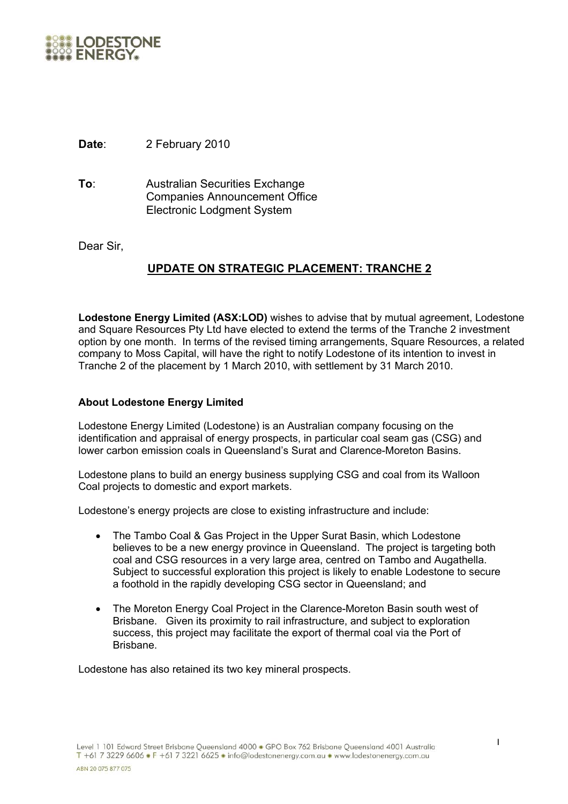

**Date**: 2 February 2010

**To**: Australian Securities Exchange Companies Announcement Office Electronic Lodgment System

Dear Sir,

## **UPDATE ON STRATEGIC PLACEMENT: TRANCHE 2**

**Lodestone Energy Limited (ASX:LOD)** wishes to advise that by mutual agreement, Lodestone and Square Resources Pty Ltd have elected to extend the terms of the Tranche 2 investment option by one month. In terms of the revised timing arrangements, Square Resources, a related company to Moss Capital, will have the right to notify Lodestone of its intention to invest in Tranche 2 of the placement by 1 March 2010, with settlement by 31 March 2010.

## **About Lodestone Energy Limited**

Lodestone Energy Limited (Lodestone) is an Australian company focusing on the identification and appraisal of energy prospects, in particular coal seam gas (CSG) and lower carbon emission coals in Queensland's Surat and Clarence-Moreton Basins.

Lodestone plans to build an energy business supplying CSG and coal from its Walloon Coal projects to domestic and export markets.

Lodestone's energy projects are close to existing infrastructure and include:

- The Tambo Coal & Gas Project in the Upper Surat Basin, which Lodestone believes to be a new energy province in Queensland. The project is targeting both coal and CSG resources in a very large area, centred on Tambo and Augathella. Subject to successful exploration this project is likely to enable Lodestone to secure a foothold in the rapidly developing CSG sector in Queensland; and
- The Moreton Energy Coal Project in the Clarence-Moreton Basin south west of Brisbane. Given its proximity to rail infrastructure, and subject to exploration success, this project may facilitate the export of thermal coal via the Port of Brisbane.

Lodestone has also retained its two key mineral prospects.